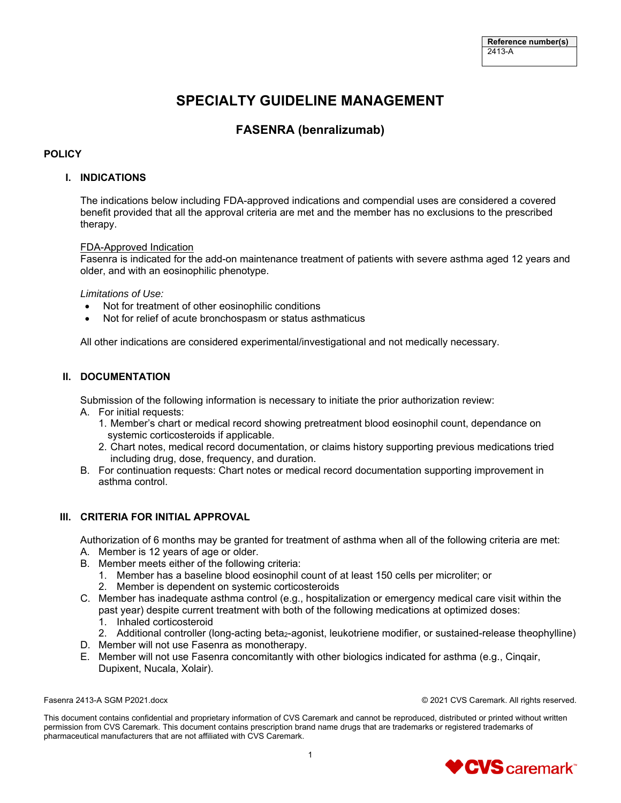# **SPECIALTY GUIDELINE MANAGEMENT**

## **FASENRA (benralizumab)**

## **POLICY**

## **I. INDICATIONS**

The indications below including FDA-approved indications and compendial uses are considered a covered benefit provided that all the approval criteria are met and the member has no exclusions to the prescribed therapy.

### FDA-Approved Indication

Fasenra is indicated for the add-on maintenance treatment of patients with severe asthma aged 12 years and older, and with an eosinophilic phenotype.

#### *Limitations of Use:*

- Not for treatment of other eosinophilic conditions
- Not for relief of acute bronchospasm or status asthmaticus

All other indications are considered experimental/investigational and not medically necessary.

## **II. DOCUMENTATION**

Submission of the following information is necessary to initiate the prior authorization review:

- A. For initial requests:
	- 1. Member's chart or medical record showing pretreatment blood eosinophil count, dependance on systemic corticosteroids if applicable.
	- 2. Chart notes, medical record documentation, or claims history supporting previous medications tried including drug, dose, frequency, and duration.
- B. For continuation requests: Chart notes or medical record documentation supporting improvement in asthma control.

## **III. CRITERIA FOR INITIAL APPROVAL**

Authorization of 6 months may be granted for treatment of asthma when all of the following criteria are met:

- A. Member is 12 years of age or older.
- B. Member meets either of the following criteria:
	- 1. Member has a baseline blood eosinophil count of at least 150 cells per microliter; or
	- 2. Member is dependent on systemic corticosteroids
- C. Member has inadequate asthma control (e.g., hospitalization or emergency medical care visit within the past year) despite current treatment with both of the following medications at optimized doses:
	- 1. Inhaled corticosteroid
	- 2. Additional controller (long-acting beta<sub>2</sub>-agonist, leukotriene modifier, or sustained-release theophylline)
- D. Member will not use Fasenra as monotherapy.
- E. Member will not use Fasenra concomitantly with other biologics indicated for asthma (e.g., Cinqair, Dupixent, Nucala, Xolair).

Fasenra 2413-A SGM P2021.docx © 2021 CVS Caremark. All rights reserved.

This document contains confidential and proprietary information of CVS Caremark and cannot be reproduced, distributed or printed without written permission from CVS Caremark. This document contains prescription brand name drugs that are trademarks or registered trademarks of pharmaceutical manufacturers that are not affiliated with CVS Caremark.